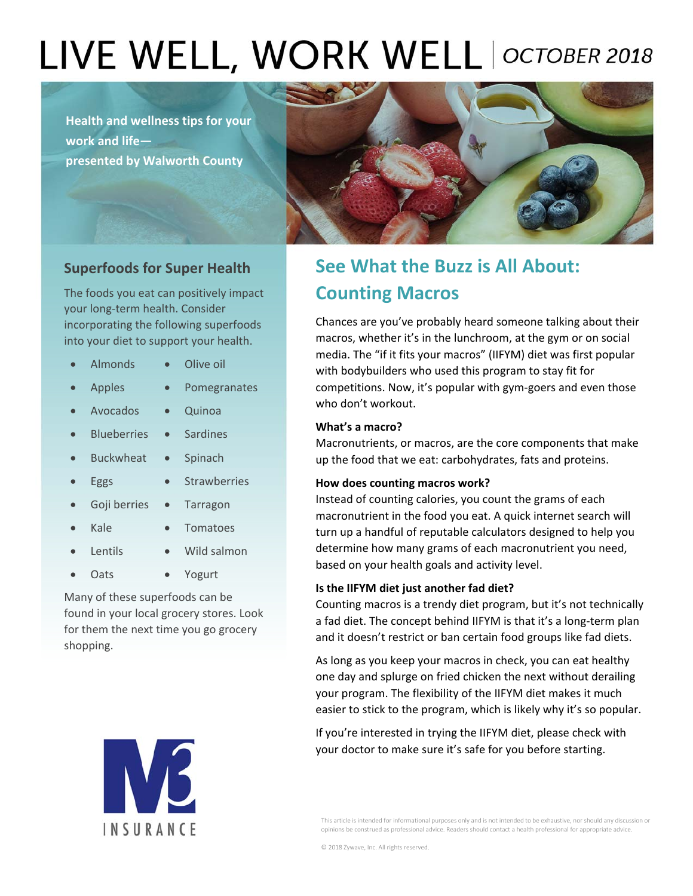# LIVE WELL, WORK WELL | OCTOBER 2018

**Health and wellness tips for your work and life presented by Walworth County**



## **Superfoods for Super Health**

The foods you eat can positively impact your long‐term health. Consider incorporating the following superfoods into your diet to support your health.

- Almonds . Olive oil
- Apples Pomegranates
	-
	- Avocados · Quinoa
- Blueberries Sardines
- Buckwheat Spinach
- Eggs Strawberries
	- Goji berries Tarragon
	- - Kale Tomatoes
- Lentils Wild salmon
- Oats . Yogurt

Many of these superfoods can be found in your local grocery stores. Look for them the next time you go grocery shopping.



# **See What the Buzz is All About: Counting Macros**

Chances are you've probably heard someone talking about their macros, whether it's in the lunchroom, at the gym or on social media. The "if it fits your macros" (IIFYM) diet was first popular with bodybuilders who used this program to stay fit for competitions. Now, it's popular with gym-goers and even those who don't workout.

## **What's a macro?**

Macronutrients, or macros, are the core components that make up the food that we eat: carbohydrates, fats and proteins.

#### **How does counting macros work?**

Instead of counting calories, you count the grams of each macronutrient in the food you eat. A quick internet search will turn up a handful of reputable calculators designed to help you determine how many grams of each macronutrient you need, based on your health goals and activity level.

## **Is the IIFYM diet just another fad diet?**

Counting macros is a trendy diet program, but it's not technically a fad diet. The concept behind IIFYM is that it's a long‐term plan and it doesn't restrict or ban certain food groups like fad diets.

As long as you keep your macros in check, you can eat healthy one day and splurge on fried chicken the next without derailing your program. The flexibility of the IIFYM diet makes it much easier to stick to the program, which is likely why it's so popular.

If you're interested in trying the IIFYM diet, please check with your doctor to make sure it's safe for you before starting.

This article is intended for informational purposes only and is not intended to be exhaustive, nor should any discussion or opinions be construed as professional advice. Readers should contact a health professional for appropriate advice.

© 2018 Zywave, Inc. All rights reserved.